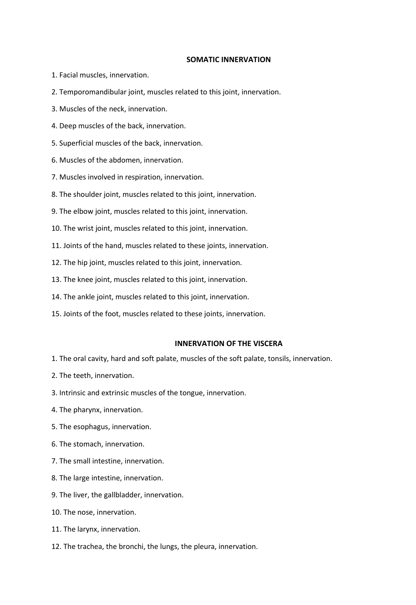## **SOMATIC INNERVATION**

- 1. Facial muscles, innervation.
- 2. Temporomandibular joint, muscles related to this joint, innervation.
- 3. Muscles of the neck, innervation.
- 4. Deep muscles of the back, innervation.
- 5. Superficial muscles of the back, innervation.
- 6. Muscles of the abdomen, innervation.
- 7. Muscles involved in respiration, innervation.
- 8. The shoulder joint, muscles related to this joint, innervation.
- 9. The elbow joint, muscles related to this joint, innervation.
- 10. The wrist joint, muscles related to this joint, innervation.
- 11. Joints of the hand, muscles related to these joints, innervation.
- 12. The hip joint, muscles related to this joint, innervation.
- 13. The knee joint, muscles related to this joint, innervation.
- 14. The ankle joint, muscles related to this joint, innervation.
- 15. Joints of the foot, muscles related to these joints, innervation.

## **INNERVATION OF THE VISCERA**

- 1. The oral cavity, hard and soft palate, muscles of the soft palate, tonsils, innervation.
- 2. The teeth, innervation.
- 3. Intrinsic and extrinsic muscles of the tongue, innervation.
- 4. The pharynx, innervation.
- 5. The esophagus, innervation.
- 6. The stomach, innervation.
- 7. The small intestine, innervation.
- 8. The large intestine, innervation.
- 9. The liver, the gallbladder, innervation.
- 10. The nose, innervation.
- 11. The larynx, innervation.
- 12. The trachea, the bronchi, the lungs, the pleura, innervation.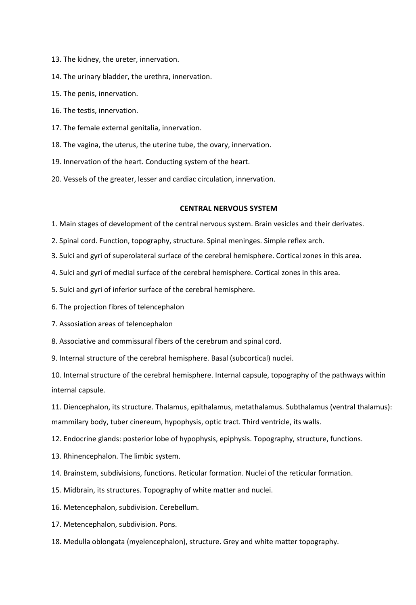- 13. The kidney, the ureter, innervation.
- 14. The urinary bladder, the urethra, innervation.
- 15. The penis, innervation.
- 16. The testis, innervation.
- 17. The female external genitalia, innervation.
- 18. The vagina, the uterus, the uterine tube, the ovary, innervation.
- 19. Innervation of the heart. Conducting system of the heart.
- 20. Vessels of the greater, lesser and cardiac circulation, innervation.

## **CENTRAL NERVOUS SYSTEM**

- 1. Main stages of development of the central nervous system. Brain vesicles and their derivates.
- 2. Spinal cord. Function, topography, structure. Spinal meninges. Simple reflex arch.
- 3. Sulci and gyri of superolateral surface of the cerebral hemisphere. Cortical zones in this area.
- 4. Sulci and gyri of medial surface of the cerebral hemisphere. Cortical zones in this area.
- 5. Sulci and gyri of inferior surface of the cerebral hemisphere.
- 6. The projection fibres of telencephalon
- 7. Assosiation areas of telencephalon
- 8. Associative and commissural fibers of the cerebrum and spinal cord.
- 9. Internal structure of the cerebral hemisphere. Basal (subcortical) nuclei.

10. Internal structure of the cerebral hemisphere. Internal capsule, topography of the pathways within internal capsule.

11. Diencephalon, its structure. Thalamus, epithalamus, metathalamus. Subthalamus (ventral thalamus): mammilary body, tuber cinereum, hypophysis, optic tract. Third ventricle, its walls.

- 12. Endocrine glands: posterior lobe of hypophysis, epiphysis. Topography, structure, functions.
- 13. Rhinencephalon. The limbic system.
- 14. Brainstem, subdivisions, functions. Reticular formation. Nuclei of the reticular formation.
- 15. Midbrain, its structures. Topography of white matter and nuclei.
- 16. Metencephalon, subdivision. Cerebellum.
- 17. Metencephalon, subdivision. Pons.
- 18. Medulla oblongata (myelencephalon), structure. Grey and white matter topography.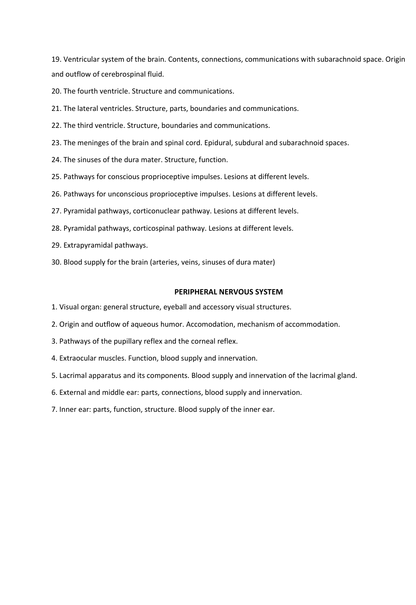19. Ventricular system of the brain. Contents, connections, communications with subarachnoid space. Origin and outflow of cerebrospinal fluid.

20. The fourth ventricle. Structure and communications.

- 21. The lateral ventricles. Structure, parts, boundaries and communications.
- 22. The third ventricle. Structure, boundaries and communications.
- 23. The meninges of the brain and spinal cord. Epidural, subdural and subarachnoid spaces.
- 24. The sinuses of the dura mater. Structure, function.
- 25. Pathways for conscious proprioceptive impulses. Lesions at different levels.
- 26. Pathways for unconscious proprioceptive impulses. Lesions at different levels.
- 27. Pyramidal pathways, corticonuclear pathway. Lesions at different levels.
- 28. Pyramidal pathways, corticospinal pathway. Lesions at different levels.
- 29. Extrapyramidal pathways.
- 30. Blood supply for the brain (arteries, veins, sinuses of dura mater)

## **PERIPHERAL NERVOUS SYSTEM**

- 1. Visual organ: general structure, eyeball and accessory visual structures.
- 2. Origin and outflow of aqueous humor. Accomodation, mechanism of accommodation.
- 3. Pathways of the pupillary reflex and the corneal reflex.
- 4. Extraocular muscles. Function, blood supply and innervation.
- 5. Lacrimal apparatus and its components. Blood supply and innervation of the lacrimal gland.
- 6. External and middle ear: parts, connections, blood supply and innervation.
- 7. Inner ear: parts, function, structure. Blood supply of the inner ear.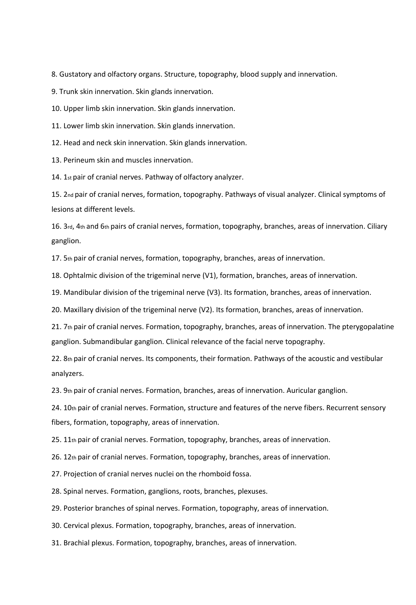8. Gustatory and olfactory organs. Structure, topography, blood supply and innervation.

9. Trunk skin innervation. Skin glands innervation.

10. Upper limb skin innervation. Skin glands innervation.

11. Lower limb skin innervation. Skin glands innervation.

12. Head and neck skin innervation. Skin glands innervation.

13. Perineum skin and muscles innervation.

14. 1st pair of cranial nerves. Pathway of olfactory analyzer.

15. 2nd pair of cranial nerves, formation, topography. Pathways of visual analyzer. Clinical symptoms of lesions at different levels.

16. 3rd, 4th and 6th pairs of cranial nerves, formation, topography, branches, areas of innervation. Ciliary ganglion.

17. 5th pair of cranial nerves, formation, topography, branches, areas of innervation.

18. Ophtalmic division of the trigeminal nerve (V1), formation, branches, areas of innervation.

19. Mandibular division of the trigeminal nerve (V3). Its formation, branches, areas of innervation.

20. Maxillary division of the trigeminal nerve (V2). Its formation, branches, areas of innervation.

21. 7th pair of cranial nerves. Formation, topography, branches, areas of innervation. The pterygopalatine ganglion. Submandibular ganglion. Clinical relevance of the facial nerve topography.

22. 8th pair of cranial nerves. Its components, their formation. Pathways of the acoustic and vestibular analyzers.

23. 9th pair of cranial nerves. Formation, branches, areas of innervation. Auricular ganglion.

24. 10th pair of cranial nerves. Formation, structure and features of the nerve fibers. Recurrent sensory fibers, formation, topography, areas of innervation.

25. 11th pair of cranial nerves. Formation, topography, branches, areas of innervation.

26. 12th pair of cranial nerves. Formation, topography, branches, areas of innervation.

27. Projection of cranial nerves nuclei on the rhomboid fossa.

28. Spinal nerves. Formation, ganglions, roots, branches, plexuses.

29. Posterior branches of spinal nerves. Formation, topography, areas of innervation.

30. Cervical plexus. Formation, topography, branches, areas of innervation.

31. Brachial plexus. Formation, topography, branches, areas of innervation.